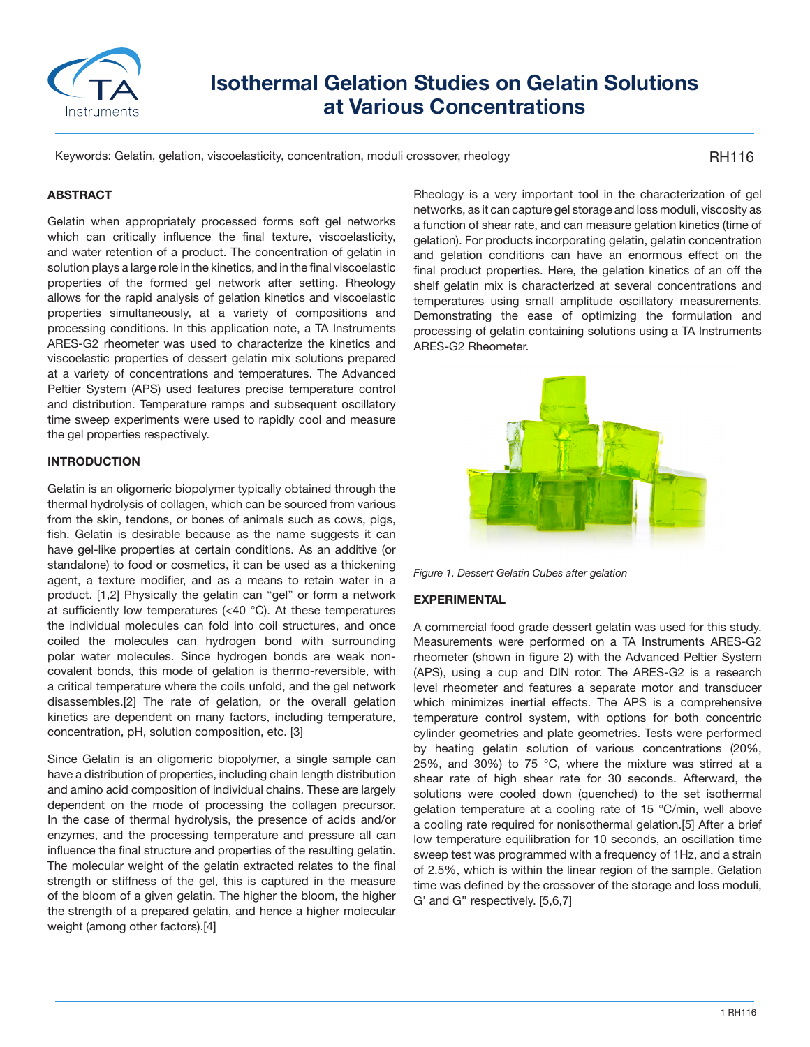

# **Isothermal Gelation Studies on Gelatin Solutions at Various Concentrations**

Keywords: Gelatin, gelation, viscoelasticity, concentration, moduli crossover, rheology

RH116

### **ABSTRACT**

Gelatin when appropriately processed forms soft gel networks which can critically influence the final texture, viscoelasticity, and water retention of a product. The concentration of gelatin in solution plays a large role in the kinetics, and in the final viscoelastic properties of the formed gel network after setting. Rheology allows for the rapid analysis of gelation kinetics and viscoelastic properties simultaneously, at a variety of compositions and processing conditions. In this application note, a TA Instruments ARES-G2 rheometer was used to characterize the kinetics and viscoelastic properties of dessert gelatin mix solutions prepared at a variety of concentrations and temperatures. The Advanced Peltier System (APS) used features precise temperature control and distribution. Temperature ramps and subsequent oscillatory time sweep experiments were used to rapidly cool and measure the gel properties respectively.

# **INTRODUCTION**

Gelatin is an oligomeric biopolymer typically obtained through the thermal hydrolysis of collagen, which can be sourced from various from the skin, tendons, or bones of animals such as cows, pigs, fish. Gelatin is desirable because as the name suggests it can have gel-like properties at certain conditions. As an additive (or standalone) to food or cosmetics, it can be used as a thickening agent, a texture modifier, and as a means to retain water in a product. [1,2] Physically the gelatin can "gel" or form a network at sufficiently low temperatures (<40 °C). At these temperatures the individual molecules can fold into coil structures, and once coiled the molecules can hydrogen bond with surrounding polar water molecules. Since hydrogen bonds are weak noncovalent bonds, this mode of gelation is thermo-reversible, with a critical temperature where the coils unfold, and the gel network disassembles.[2] The rate of gelation, or the overall gelation kinetics are dependent on many factors, including temperature, concentration, pH, solution composition, etc. [3]

Since Gelatin is an oligomeric biopolymer, a single sample can have a distribution of properties, including chain length distribution and amino acid composition of individual chains. These are largely dependent on the mode of processing the collagen precursor. In the case of thermal hydrolysis, the presence of acids and/or enzymes, and the processing temperature and pressure all can influence the final structure and properties of the resulting gelatin. The molecular weight of the gelatin extracted relates to the final strength or stiffness of the gel, this is captured in the measure of the bloom of a given gelatin. The higher the bloom, the higher the strength of a prepared gelatin, and hence a higher molecular weight (among other factors).[4]

Rheology is a very important tool in the characterization of gel networks, as it can capture gel storage and loss moduli, viscosity as a function of shear rate, and can measure gelation kinetics (time of gelation). For products incorporating gelatin, gelatin concentration and gelation conditions can have an enormous effect on the final product properties. Here, the gelation kinetics of an off the shelf gelatin mix is characterized at several concentrations and temperatures using small amplitude oscillatory measurements. Demonstrating the ease of optimizing the formulation and processing of gelatin containing solutions using a TA Instruments ARES-G2 Rheometer.



*Figure 1. Dessert Gelatin Cubes after gelation*

#### **EXPERIMENTAL**

A commercial food grade dessert gelatin was used for this study. Measurements were performed on a TA Instruments ARES-G2 rheometer (shown in figure 2) with the Advanced Peltier System (APS), using a cup and DIN rotor. The ARES-G2 is a research level rheometer and features a separate motor and transducer which minimizes inertial effects. The APS is a comprehensive temperature control system, with options for both concentric cylinder geometries and plate geometries. Tests were performed by heating gelatin solution of various concentrations (20%, 25%, and 30%) to 75 °C, where the mixture was stirred at a shear rate of high shear rate for 30 seconds. Afterward, the solutions were cooled down (quenched) to the set isothermal gelation temperature at a cooling rate of 15 °C/min, well above a cooling rate required for nonisothermal gelation.[5] After a brief low temperature equilibration for 10 seconds, an oscillation time sweep test was programmed with a frequency of 1Hz, and a strain of 2.5%, which is within the linear region of the sample. Gelation time was defined by the crossover of the storage and loss moduli, G' and G'' respectively. [5,6,7]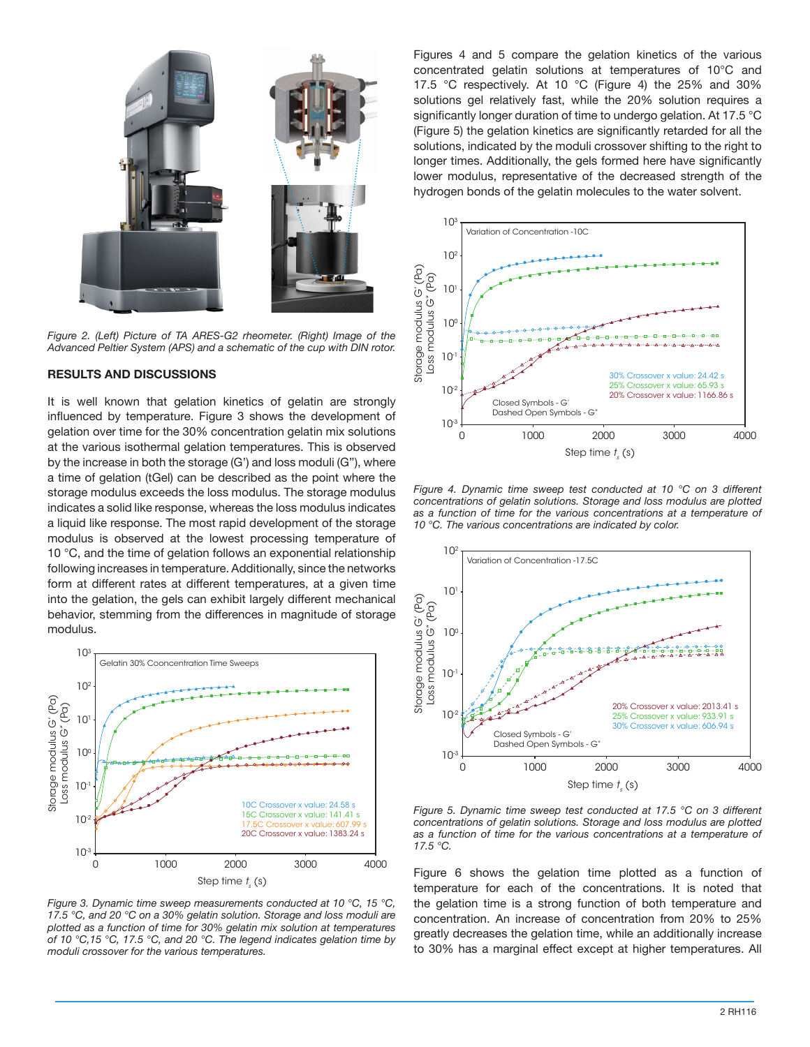

*Figure 2. (Left) Picture of TA ARES-G2 rheometer. (Right) Image of the Advanced Peltier System (APS) and a schematic of the cup with DIN rotor.*

### **RESULTS AND DISCUSSIONS**

It is well known that gelation kinetics of gelatin are strongly influenced by temperature. Figure 3 shows the development of gelation over time for the 30% concentration gelatin mix solutions at the various isothermal gelation temperatures. This is observed by the increase in both the storage (G') and loss moduli (G''), where a time of gelation (tGel) can be described as the point where the storage modulus exceeds the loss modulus. The storage modulus indicates a solid like response, whereas the loss modulus indicates a liquid like response. The most rapid development of the storage modulus is observed at the lowest processing temperature of 10 °C, and the time of gelation follows an exponential relationship following increases in temperature. Additionally, since the networks form at different rates at different temperatures, at a given time into the gelation, the gels can exhibit largely different mechanical behavior, stemming from the differences in magnitude of storage modulus.



*Figure 3. Dynamic time sweep measurements conducted at 10 °C, 15 °C, 17.5 °C, and 20 °C on a 30% gelatin solution. Storage and loss moduli are plotted as a function of time for 30% gelatin mix solution at temperatures of 10 °C,15 °C, 17.5 °C, and 20 °C. The legend indicates gelation time by moduli crossover for the various temperatures.*

Figures 4 and 5 compare the gelation kinetics of the various concentrated gelatin solutions at temperatures of 10°C and 17.5 °C respectively. At 10 °C (Figure 4) the 25% and 30% solutions gel relatively fast, while the 20% solution requires a significantly longer duration of time to undergo gelation. At 17.5 °C (Figure 5) the gelation kinetics are significantly retarded for all the solutions, indicated by the moduli crossover shifting to the right to longer times. Additionally, the gels formed here have significantly lower modulus, representative of the decreased strength of the hydrogen bonds of the gelatin molecules to the water solvent.



*Figure 4. Dynamic time sweep test conducted at 10 °C on 3 different concentrations of gelatin solutions. Storage and loss modulus are plotted as a function of time for the various concentrations at a temperature of 10 °C. The various concentrations are indicated by color.*



*Figure 5. Dynamic time sweep test conducted at 17.5 °C on 3 different concentrations of gelatin solutions. Storage and loss modulus are plotted as a function of time for the various concentrations at a temperature of 17.5 °C.*

Figure 6 shows the gelation time plotted as a function of temperature for each of the concentrations. It is noted that the gelation time is a strong function of both temperature and concentration. An increase of concentration from 20% to 25% greatly decreases the gelation time, while an additionally increase to 30% has a marginal effect except at higher temperatures. All